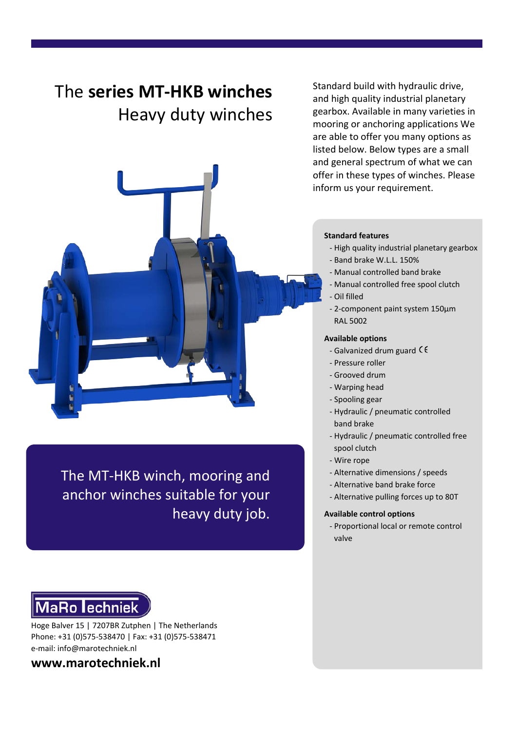# The **series MT-HKB winches**

## Heavy duty winches



The MT-HKB winch, mooring and anchor winches suitable for your heavy duty job.

# **MaRo lechniek**

Hoge Balver 15 | 7207BR Zutphen | The Netherlands Phone: +31 (0)575-538470 | Fax: +31 (0)575-538471 e-mail: info@marotechniek.nl

### **www.marotechniek.nl**

Standard build with hydraulic drive, and high quality industrial planetary gearbox. Available in many varieties in mooring or anchoring applications We are able to offer you many options as listed below. Below types are a small and general spectrum of what we can offer in these types of winches. Please inform us your requirement.

#### **Standard features**

- High quality industrial planetary gearbox
- Band brake W.L.L. 150%
- Manual controlled band brake
- Manual controlled free spool clutch
- Oil filled
- 2-component paint system 150μm RAL 5002

#### **Available options**

- Galvanized drum guard  $\zeta \zeta$
- Pressure roller
- Grooved drum
- Warping head
- Spooling gear
- Hydraulic / pneumatic controlled band brake
- Hydraulic / pneumatic controlled free spool clutch
- Wire rope
- Alternative dimensions / speeds
- Alternative band brake force
- Alternative pulling forces up to 80T

#### **Available control options**

- Proportional local or remote control valve